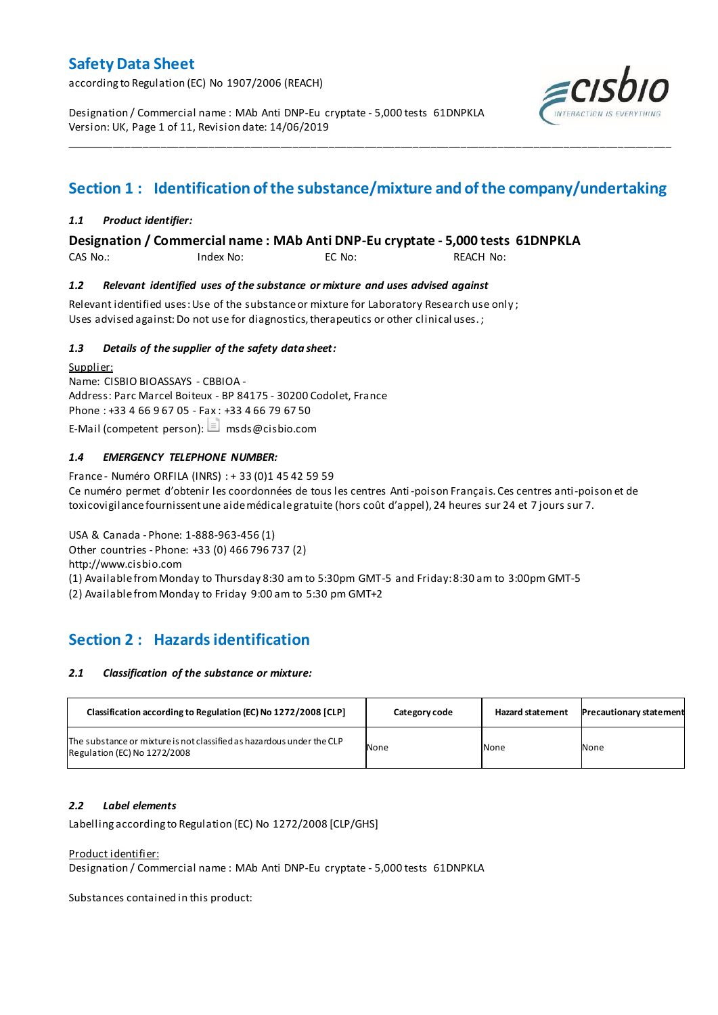according to Regulation (EC) No 1907/2006 (REACH)

Designation / Commercial name : MAb Anti DNP-Eu cryptate - 5,000 tests 61DNPKLA Version: UK, Page 1 of 11, Revision date: 14/06/2019



# **Section 1 : Identification of the substance/mixture and of the company/undertaking**

\_\_\_\_\_\_\_\_\_\_\_\_\_\_\_\_\_\_\_\_\_\_\_\_\_\_\_\_\_\_\_\_\_\_\_\_\_\_\_\_\_\_\_\_\_\_\_\_\_\_\_\_\_\_\_\_\_\_\_\_\_\_\_\_\_\_\_\_\_\_\_\_\_\_\_\_\_\_\_\_\_\_\_\_\_\_\_\_\_\_\_\_\_\_\_\_\_\_\_\_\_

### *1.1 Product identifier:*

**Designation / Commercial name : MAb Anti DNP-Eu cryptate - 5,000 tests 61DNPKLA** 

CAS No.: Index No: EC No: REACH No:

#### *1.2 Relevant identified uses of the substance or mixture and uses advised against*

Relevant identified uses: Use of the substance or mixture for Laboratory Research use only ; Uses advised against: Do not use for diagnostics, therapeutics or other clinical uses.;

### *1.3 Details of the supplier of the safety data sheet:*

Supplier: Name: CISBIO BIOASSAYS - CBBIOA - Address: Parc Marcel Boiteux - BP 84175 - 30200 Codolet, France Phone : +33 4 66 9 67 05 - Fax : +33 4 66 79 67 50 E-Mail (competent person):  $\Box$  msds@cisbio.com

### *1.4 EMERGENCY TELEPHONE NUMBER:*

France - Numéro ORFILA (INRS) : + 33 (0)1 45 42 59 59 Ce numéro permet d'obtenir les coordonnées de tous les centres Anti-poison Français. Ces centres anti-poison et de toxicovigilance fournissent une aide médicale gratuite (hors coût d'appel), 24 heures sur 24 et 7 jours sur 7.

USA & Canada - Phone: 1-888-963-456 (1) Other countries - Phone: +33 (0) 466 796 737 (2) http://www.cisbio.com (1) Available from Monday to Thursday 8:30 am to 5:30pm GMT-5 and Friday: 8:30 am to 3:00pm GMT-5

(2) Available from Monday to Friday 9:00 am to 5:30 pm GMT+2

## **Section 2 : Hazards identification**

#### *2.1 Classification of the substance or mixture:*

| Classification according to Regulation (EC) No 1272/2008 [CLP]                                        | Category code | <b>Hazard statement</b> | <b>Precautionary statement</b> |
|-------------------------------------------------------------------------------------------------------|---------------|-------------------------|--------------------------------|
| The substance or mixture is not classified as hazardous under the CLP<br>Regulation (EC) No 1272/2008 | None          | None                    | None                           |

### *2.2 Label elements*

Labelling according to Regulation (EC) No 1272/2008 [CLP/GHS]

#### Product identifier:

Designation / Commercial name : MAb Anti DNP-Eu cryptate - 5,000 tests 61DNPKLA

Substances contained in this product: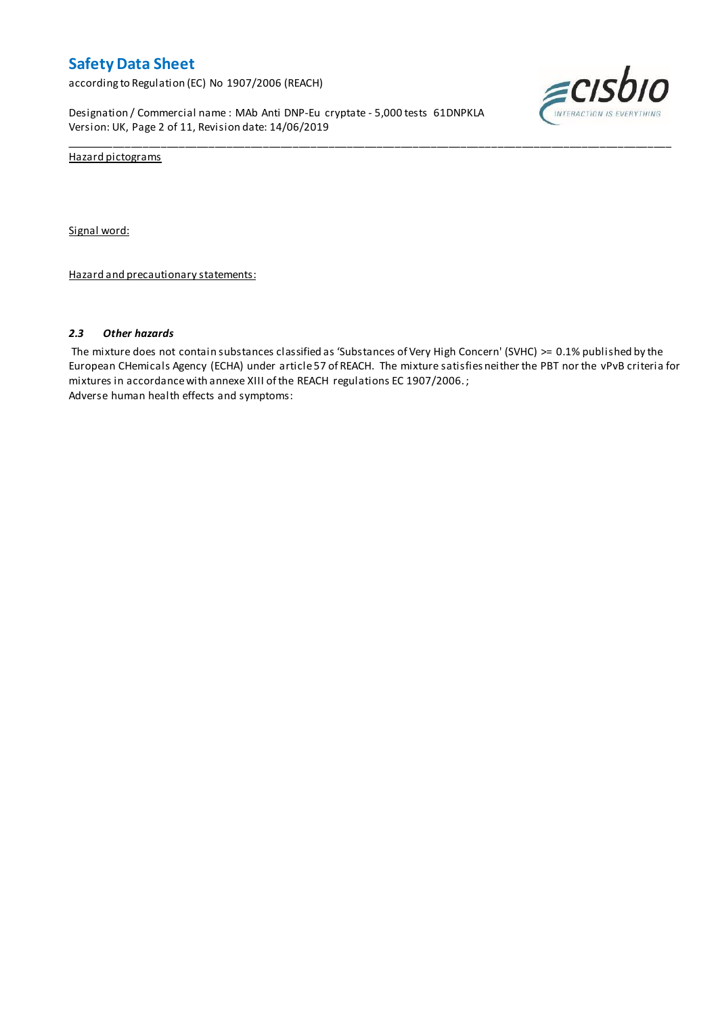according to Regulation (EC) No 1907/2006 (REACH)

Designation / Commercial name : MAb Anti DNP-Eu cryptate - 5,000 tests 61DNPKLA Version: UK, Page 2 of 11, Revision date: 14/06/2019



Hazard pictograms

Signal word:

Hazard and precautionary statements:

#### *2.3 Other hazards*

The mixture does not contain substances classified as 'Substances of Very High Concern' (SVHC) >= 0.1% published by the European CHemicals Agency (ECHA) under article 57 of REACH. The mixture satisfies neither the PBT nor the vPvB criteria for mixtures in accordance with annexe XIII of the REACH regulations EC 1907/2006. ; Adverse human health effects and symptoms:

\_\_\_\_\_\_\_\_\_\_\_\_\_\_\_\_\_\_\_\_\_\_\_\_\_\_\_\_\_\_\_\_\_\_\_\_\_\_\_\_\_\_\_\_\_\_\_\_\_\_\_\_\_\_\_\_\_\_\_\_\_\_\_\_\_\_\_\_\_\_\_\_\_\_\_\_\_\_\_\_\_\_\_\_\_\_\_\_\_\_\_\_\_\_\_\_\_\_\_\_\_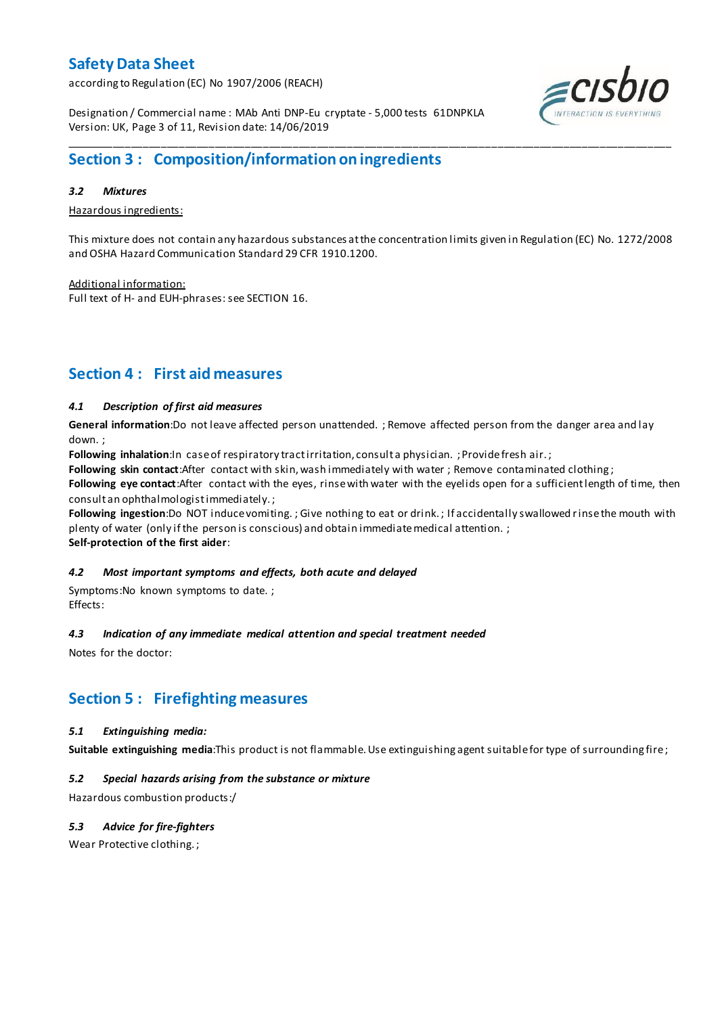according to Regulation (EC) No 1907/2006 (REACH)



Designation / Commercial name : MAb Anti DNP-Eu cryptate - 5,000 tests 61DNPKLA Version: UK, Page 3 of 11, Revision date: 14/06/2019

## **Section 3 : Composition/information on ingredients**

### *3.2 Mixtures*

Hazardous ingredients:

This mixture does not contain any hazardous substances at the concentration limits given in Regulation (EC) No. 1272/2008 and OSHA Hazard Communication Standard 29 CFR 1910.1200.

\_\_\_\_\_\_\_\_\_\_\_\_\_\_\_\_\_\_\_\_\_\_\_\_\_\_\_\_\_\_\_\_\_\_\_\_\_\_\_\_\_\_\_\_\_\_\_\_\_\_\_\_\_\_\_\_\_\_\_\_\_\_\_\_\_\_\_\_\_\_\_\_\_\_\_\_\_\_\_\_\_\_\_\_\_\_\_\_\_\_\_\_\_\_\_\_\_\_\_\_\_

Additional information: Full text of H- and EUH-phrases: see SECTION 16.

## **Section 4 : First aid measures**

### *4.1 Description of first aid measures*

**General information**:Do not leave affected person unattended. ; Remove affected person from the danger area and lay down. ;

Following inhalation:In case of respiratory tract irritation, consult a physician. ; Provide fresh air.;

**Following skin contact**:After contact with skin, wash immediately with water ; Remove contaminated clothing ;

**Following eye contact**:After contact with the eyes, rinse with water with the eyelids open for a sufficient length of time, then consult an ophthalmologist immediately. ;

**Following ingestion**:Do NOT induce vomiting. ; Give nothing to eat or drink. ; If accidentally swallowed rinse the mouth with plenty of water (only if the person is conscious) and obtain immediate medical attention. ;

**Self-protection of the first aider**:

### *4.2 Most important symptoms and effects, both acute and delayed*

Symptoms:No known symptoms to date. ; Effects:

### *4.3 Indication of any immediate medical attention and special treatment needed*

Notes for the doctor:

## **Section 5 : Firefighting measures**

### *5.1 Extinguishing media:*

**Suitable extinguishing media**:This product is not flammable. Use extinguishing agent suitable for type of surrounding fire ;

### *5.2 Special hazards arising from the substance or mixture*

Hazardous combustion products:/

### *5.3 Advice for fire-fighters*

Wear Protective clothing. ;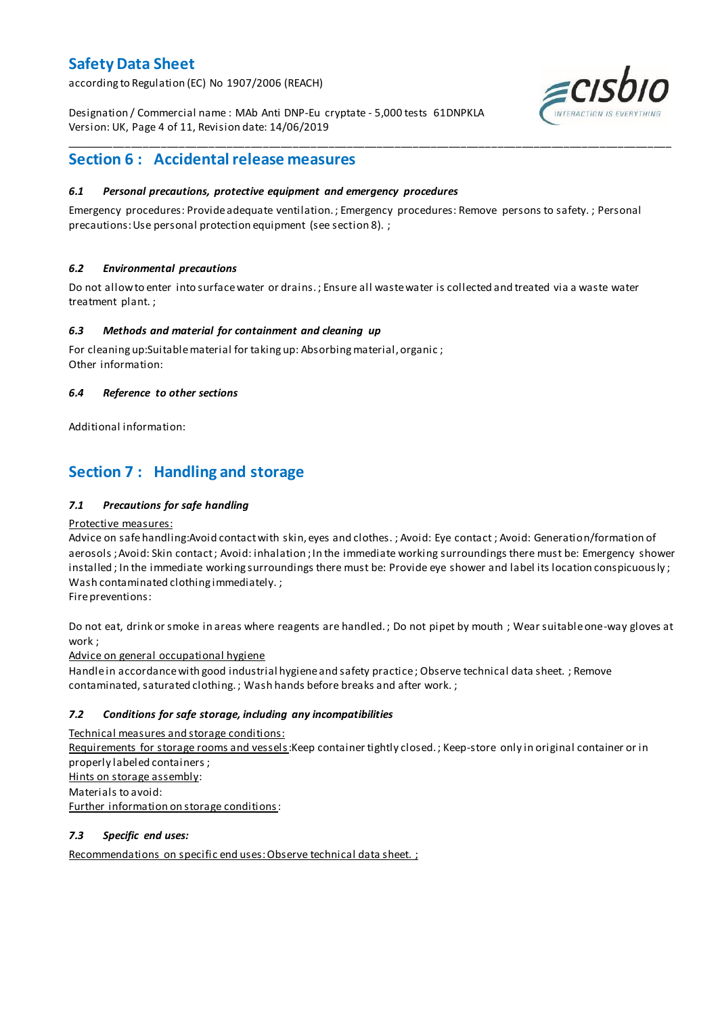according to Regulation (EC) No 1907/2006 (REACH)

Designation / Commercial name : MAb Anti DNP-Eu cryptate - 5,000 tests 61DNPKLA Version: UK, Page 4 of 11, Revision date: 14/06/2019



## **Section 6 : Accidental release measures**

### *6.1 Personal precautions, protective equipment and emergency procedures*

Emergency procedures: Provide adequate ventilation. ; Emergency procedures: Remove persons to safety. ; Personal precautions: Use personal protection equipment (see section 8). ;

\_\_\_\_\_\_\_\_\_\_\_\_\_\_\_\_\_\_\_\_\_\_\_\_\_\_\_\_\_\_\_\_\_\_\_\_\_\_\_\_\_\_\_\_\_\_\_\_\_\_\_\_\_\_\_\_\_\_\_\_\_\_\_\_\_\_\_\_\_\_\_\_\_\_\_\_\_\_\_\_\_\_\_\_\_\_\_\_\_\_\_\_\_\_\_\_\_\_\_\_\_

### *6.2 Environmental precautions*

Do not allow to enter into surface water or drains. ; Ensure all waste water is collected and treated via a waste water treatment plant. ;

#### *6.3 Methods and material for containment and cleaning up*

For cleaning up:Suitable material for taking up: Absorbing material, organic ; Other information:

### *6.4 Reference to other sections*

Additional information:

## **Section 7 : Handling and storage**

### *7.1 Precautions for safe handling*

#### Protective measures:

Advice on safe handling:Avoid contact with skin, eyes and clothes. ; Avoid: Eye contact ; Avoid: Generation/formation of aerosols ; Avoid: Skin contact ; Avoid: inhalation ; In the immediate working surroundings there must be: Emergency shower installed ; In the immediate working surroundings there must be: Provide eye shower and label its location conspicuously; Wash contaminated clothing immediately. ;

Fire preventions:

Do not eat, drink or smoke in areas where reagents are handled. ; Do not pipet by mouth ; Wear suitable one-way gloves at work ;

Advice on general occupational hygiene

Handle in accordance with good industrial hygiene and safety practice ; Observe technical data sheet. ; Remove contaminated, saturated clothing. ; Wash hands before breaks and after work. ;

### *7.2 Conditions for safe storage, including any incompatibilities*

Technical measures and storage conditions:

Requirements for storage rooms and vessels: Keep container tightly closed. ; Keep-store only in original container or in properly labeled containers ; Hints on storage assembly: Materials to avoid: Further information on storage conditions:

#### *7.3 Specific end uses:*

Recommendations on specific end uses: Observe technical data sheet. ;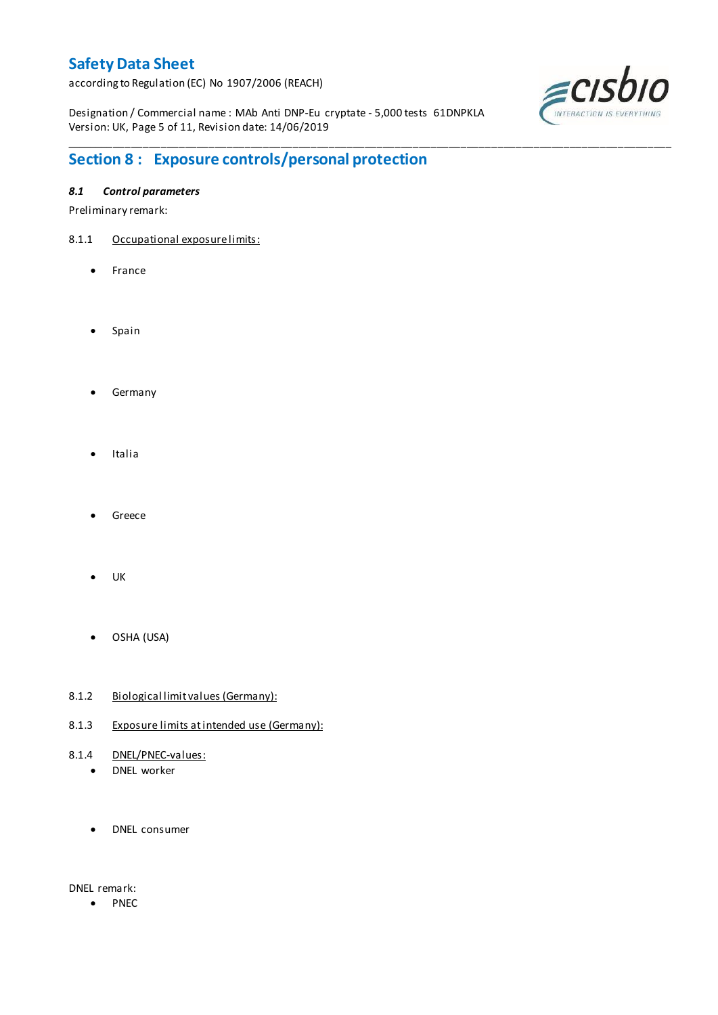according to Regulation (EC) No 1907/2006 (REACH)

Designation / Commercial name : MAb Anti DNP-Eu cryptate - 5,000 tests 61DNPKLA Version: UK, Page 5 of 11, Revision date: 14/06/2019

\_\_\_\_\_\_\_\_\_\_\_\_\_\_\_\_\_\_\_\_\_\_\_\_\_\_\_\_\_\_\_\_\_\_\_\_\_\_\_\_\_\_\_\_\_\_\_\_\_\_\_\_\_\_\_\_\_\_\_\_\_\_\_\_\_\_\_\_\_\_\_\_\_\_\_\_\_\_\_\_\_\_\_\_\_\_\_\_\_\_\_\_\_\_\_\_\_\_\_\_\_



# **Section 8 : Exposure controls/personal protection**

### *8.1 Control parameters*

Preliminary remark:

- 8.1.1 Occupational exposure limits:
	- France
	- Spain
	- **•** Germany
	- Italia
	- Greece
	- UK
	- OSHA (USA)
- 8.1.2 Biological limit values (Germany):
- 8.1.3 Exposure limits at intended use (Germany):
- 8.1.4 DNEL/PNEC-values:
	- DNEL worker
	- DNEL consumer

DNEL remark:

• PNEC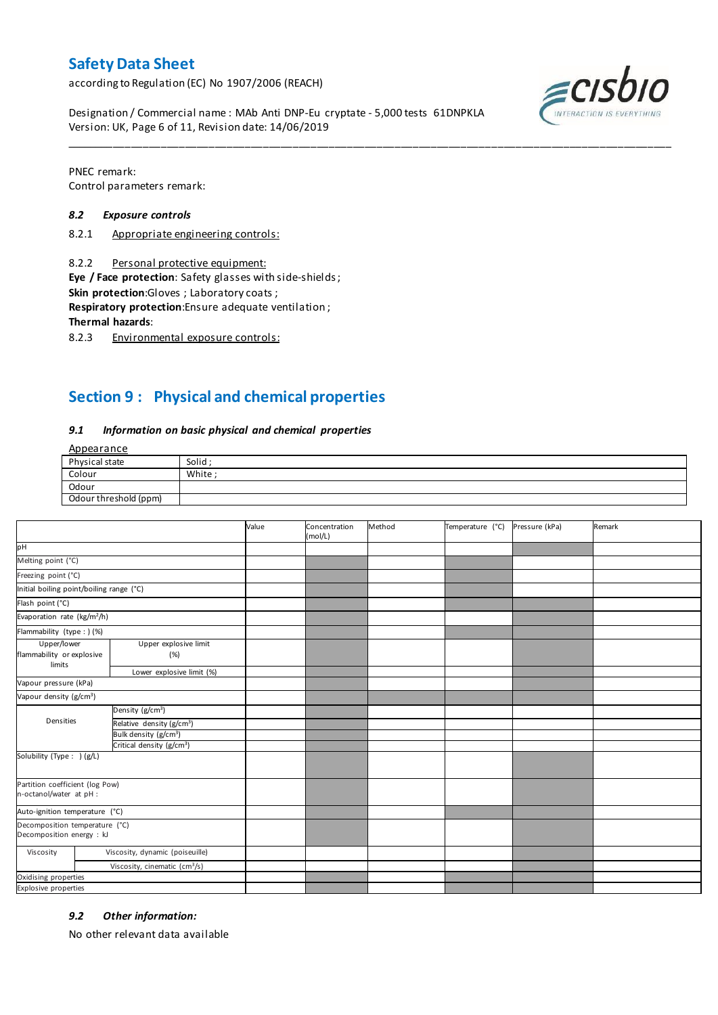according to Regulation (EC) No 1907/2006 (REACH)

 $=$   $CIS$ 

Designation / Commercial name : MAb Anti DNP-Eu cryptate - 5,000 tests 61DNPKLA Version: UK, Page 6 of 11, Revision date: 14/06/2019

PNEC remark: Control parameters remark:

#### *8.2 Exposure controls*

- 8.2.1 Appropriate engineering controls:
- 8.2.2 Personal protective equipment:

**Eye / Face protection**: Safety glasses with side-shields ;

**Skin protection**:Gloves ; Laboratory coats ;

**Respiratory protection**:Ensure adequate ventilation ;

**Thermal hazards**:

8.2.3 Environmental exposure controls:

## **Section 9 : Physical and chemical properties**

#### *9.1 Information on basic physical and chemical properties*

Appearance

| Physical state        | Solid  |
|-----------------------|--------|
| Colour                | White: |
| Odour                 |        |
| Odour threshold (ppm) |        |

\_\_\_\_\_\_\_\_\_\_\_\_\_\_\_\_\_\_\_\_\_\_\_\_\_\_\_\_\_\_\_\_\_\_\_\_\_\_\_\_\_\_\_\_\_\_\_\_\_\_\_\_\_\_\_\_\_\_\_\_\_\_\_\_\_\_\_\_\_\_\_\_\_\_\_\_\_\_\_\_\_\_\_\_\_\_\_\_\_\_\_\_\_\_\_\_\_\_\_\_\_

|                                                             |                                           | Value | Concentration<br>(mol/L) | Method | Temperature (°C) | Pressure (kPa) | Remark |
|-------------------------------------------------------------|-------------------------------------------|-------|--------------------------|--------|------------------|----------------|--------|
| pH                                                          |                                           |       |                          |        |                  |                |        |
| Melting point (°C)                                          |                                           |       |                          |        |                  |                |        |
| Freezing point (°C)                                         |                                           |       |                          |        |                  |                |        |
| Initial boiling point/boiling range (°C)                    |                                           |       |                          |        |                  |                |        |
| Flash point (°C)                                            |                                           |       |                          |        |                  |                |        |
| Evaporation rate (kg/m <sup>2</sup> /h)                     |                                           |       |                          |        |                  |                |        |
| Flammability (type : ) (%)                                  |                                           |       |                          |        |                  |                |        |
| Upper/lower<br>flammability or explosive<br>limits          | Upper explosive limit<br>(%)              |       |                          |        |                  |                |        |
|                                                             | Lower explosive limit (%)                 |       |                          |        |                  |                |        |
| Vapour pressure (kPa)                                       |                                           |       |                          |        |                  |                |        |
| Vapour density (g/cm <sup>3</sup> )                         |                                           |       |                          |        |                  |                |        |
|                                                             | Density $(g/cm3)$                         |       |                          |        |                  |                |        |
| Densities                                                   | Relative density (g/cm <sup>3</sup> )     |       |                          |        |                  |                |        |
|                                                             | Bulk density (g/cm <sup>3</sup> )         |       |                          |        |                  |                |        |
|                                                             | Critical density (g/cm <sup>3</sup> )     |       |                          |        |                  |                |        |
| Solubility (Type: ) (g/L)                                   |                                           |       |                          |        |                  |                |        |
| Partition coefficient (log Pow)<br>n-octanol/water at pH :  |                                           |       |                          |        |                  |                |        |
| Auto-ignition temperature (°C)                              |                                           |       |                          |        |                  |                |        |
| Decomposition temperature (°C)<br>Decomposition energy : kJ |                                           |       |                          |        |                  |                |        |
| Viscosity                                                   | Viscosity, dynamic (poiseuille)           |       |                          |        |                  |                |        |
|                                                             | Viscosity, cinematic (cm <sup>3</sup> /s) |       |                          |        |                  |                |        |
| Oxidising properties                                        |                                           |       |                          |        |                  |                |        |
| <b>Explosive properties</b>                                 |                                           |       |                          |        |                  |                |        |

#### *9.2 Other information:*

No other relevant data available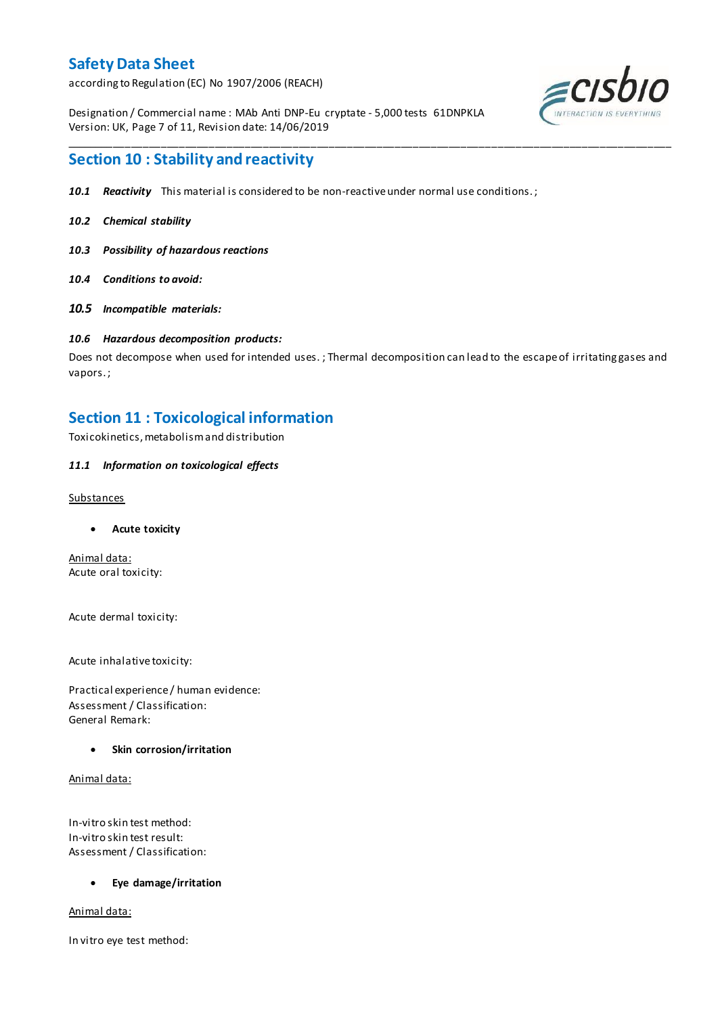according to Regulation (EC) No 1907/2006 (REACH)

Designation / Commercial name : MAb Anti DNP-Eu cryptate - 5,000 tests 61DNPKLA Version: UK, Page 7 of 11, Revision date: 14/06/2019



### **Section 10 : Stability and reactivity**

- *10.1 Reactivity* This material is considered to be non-reactive under normal use conditions. ;
- *10.2 Chemical stability*
- *10.3 Possibility of hazardous reactions*
- *10.4 Conditions to avoid:*
- *10.5 Incompatible materials:*

#### *10.6 Hazardous decomposition products:*

Does not decompose when used for intended uses. ; Thermal decomposition can lead to the escape of irritating gases and vapors. ;

\_\_\_\_\_\_\_\_\_\_\_\_\_\_\_\_\_\_\_\_\_\_\_\_\_\_\_\_\_\_\_\_\_\_\_\_\_\_\_\_\_\_\_\_\_\_\_\_\_\_\_\_\_\_\_\_\_\_\_\_\_\_\_\_\_\_\_\_\_\_\_\_\_\_\_\_\_\_\_\_\_\_\_\_\_\_\_\_\_\_\_\_\_\_\_\_\_\_\_\_\_

### **Section 11 : Toxicological information**

Toxicokinetics, metabolism and distribution

#### *11.1 Information on toxicological effects*

#### Substances

**Acute toxicity**

Animal data: Acute oral toxicity:

Acute dermal toxicity:

Acute inhalative toxicity:

Practical experience / human evidence: Assessment / Classification: General Remark:

#### **Skin corrosion/irritation**

Animal data:

In-vitro skin test method: In-vitro skin test result: Assessment / Classification:

#### **Eye damage/irritation**

Animal data:

In vitro eye test method: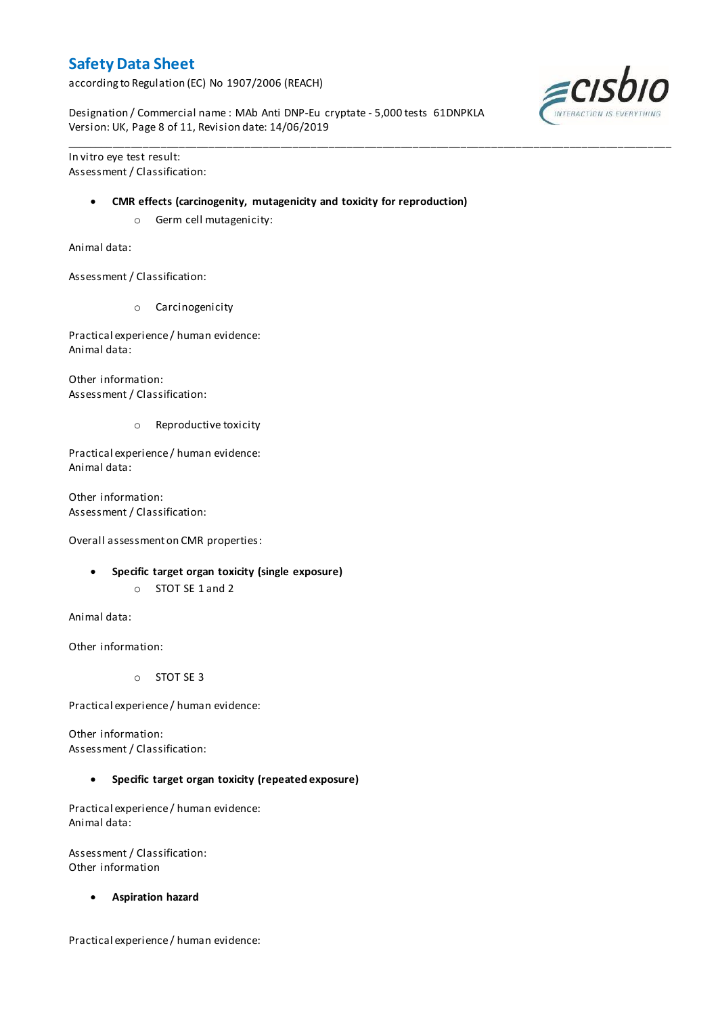according to Regulation (EC) No 1907/2006 (REACH)

Designation / Commercial name : MAb Anti DNP-Eu cryptate - 5,000 tests 61DNPKLA Version: UK, Page 8 of 11, Revision date: 14/06/2019

\_\_\_\_\_\_\_\_\_\_\_\_\_\_\_\_\_\_\_\_\_\_\_\_\_\_\_\_\_\_\_\_\_\_\_\_\_\_\_\_\_\_\_\_\_\_\_\_\_\_\_\_\_\_\_\_\_\_\_\_\_\_\_\_\_\_\_\_\_\_\_\_\_\_\_\_\_\_\_\_\_\_\_\_\_\_\_\_\_\_\_\_\_\_\_\_\_\_\_\_\_

In vitro eye test result: Assessment / Classification:

#### **CMR effects (carcinogenity, mutagenicity and toxicity for reproduction)**

o Germ cell mutagenicity:

Animal data:

Assessment / Classification:

o Carcinogenicity

Practical experience / human evidence: Animal data:

Other information: Assessment / Classification:

o Reproductive toxicity

Practical experience / human evidence: Animal data:

Other information: Assessment / Classification:

Overall assessment on CMR properties:

- **Specific target organ toxicity (single exposure)**
	- o STOT SE 1 and 2

Animal data:

Other information:

o STOT SE 3

Practical experience / human evidence:

Other information: Assessment / Classification:

**Specific target organ toxicity (repeated exposure)**

Practical experience / human evidence: Animal data:

Assessment / Classification: Other information

**Aspiration hazard**

Practical experience / human evidence:

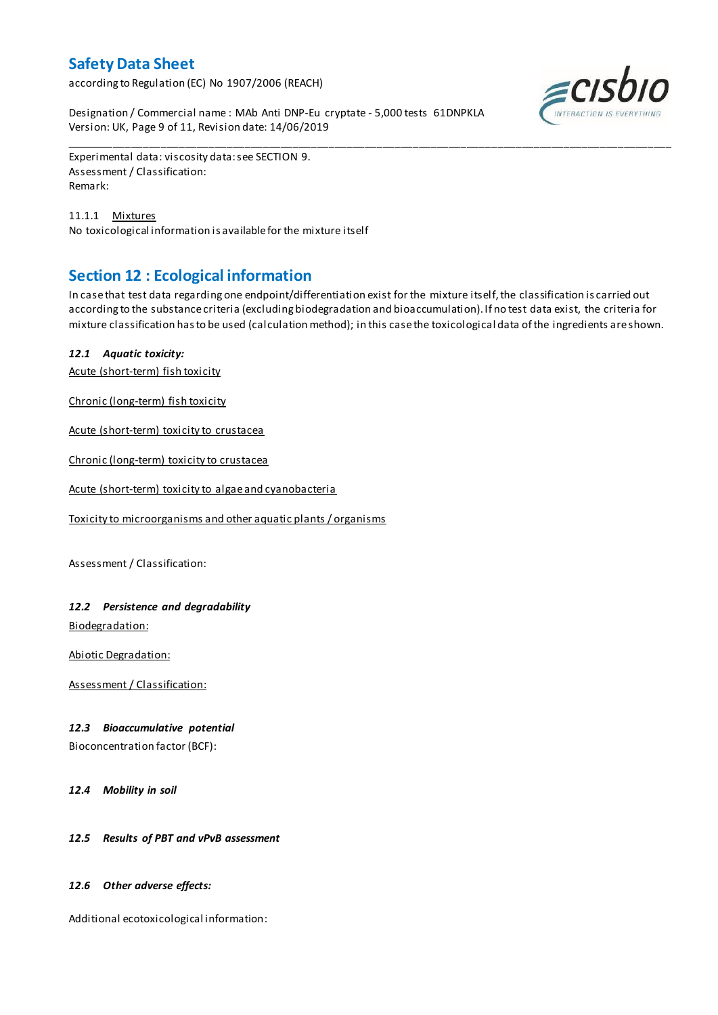according to Regulation (EC) No 1907/2006 (REACH)

Designation / Commercial name : MAb Anti DNP-Eu cryptate - 5,000 tests 61DNPKLA Version: UK, Page 9 of 11, Revision date: 14/06/2019



Experimental data: viscosity data: see SECTION 9. Assessment / Classification: Remark:

11.1.1 Mixtures No toxicological information is available for the mixture itself

## **Section 12 : Ecological information**

In case that test data regarding one endpoint/differentiation exist for the mixture itself, the classification is carried out according to the substance criteria (excluding biodegradation and bioaccumulation). If no test data exist, the criteria for mixture classification has to be used (calculation method); in this case the toxicological data of the ingredients are shown.

\_\_\_\_\_\_\_\_\_\_\_\_\_\_\_\_\_\_\_\_\_\_\_\_\_\_\_\_\_\_\_\_\_\_\_\_\_\_\_\_\_\_\_\_\_\_\_\_\_\_\_\_\_\_\_\_\_\_\_\_\_\_\_\_\_\_\_\_\_\_\_\_\_\_\_\_\_\_\_\_\_\_\_\_\_\_\_\_\_\_\_\_\_\_\_\_\_\_\_\_\_

### *12.1 Aquatic toxicity:*

Acute (short-term) fish toxicity

Chronic (long-term) fish toxicity

Acute (short-term) toxicity to crustacea

Chronic (long-term) toxicity to crustacea

Acute (short-term) toxicity to algae and cyanobacteria

Toxicity to microorganisms and other aquatic plants / organisms

Assessment / Classification:

### *12.2 Persistence and degradability*

Biodegradation:

Abiotic Degradation:

Assessment / Classification:

#### *12.3 Bioaccumulative potential*

Bioconcentration factor (BCF):

*12.4 Mobility in soil*

#### *12.5 Results of PBT and vPvB assessment*

#### *12.6 Other adverse effects:*

Additional ecotoxicological information: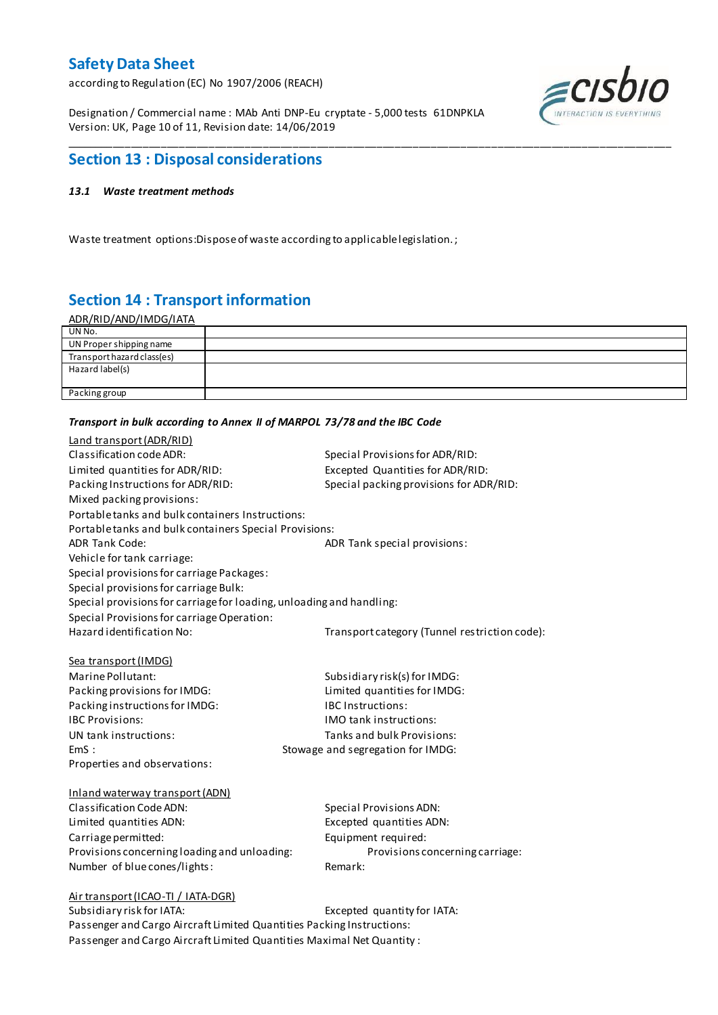according to Regulation (EC) No 1907/2006 (REACH)

Designation / Commercial name : MAb Anti DNP-Eu cryptate - 5,000 tests 61DNPKLA Version: UK, Page 10 of 11, Revision date: 14/06/2019



### **Section 13 : Disposal considerations**

#### *13.1 Waste treatment methods*

Waste treatment options:Dispose of waste according to applicable legislation. ;

## **Section 14 : Transport information**

| <u>ADR/RID/AND/IMDG/IATA</u> |  |
|------------------------------|--|
| UN No.                       |  |
| UN Proper shipping name      |  |
| Transport hazard class(es)   |  |
| Hazard label(s)              |  |
|                              |  |
| Packing group                |  |
|                              |  |

\_\_\_\_\_\_\_\_\_\_\_\_\_\_\_\_\_\_\_\_\_\_\_\_\_\_\_\_\_\_\_\_\_\_\_\_\_\_\_\_\_\_\_\_\_\_\_\_\_\_\_\_\_\_\_\_\_\_\_\_\_\_\_\_\_\_\_\_\_\_\_\_\_\_\_\_\_\_\_\_\_\_\_\_\_\_\_\_\_\_\_\_\_\_\_\_\_\_\_\_\_

#### *Transport in bulk according to Annex II of MARPOL 73/78 and the IBC Code*

| Land transport (ADR/RID)                                             |                                               |
|----------------------------------------------------------------------|-----------------------------------------------|
| Classification code ADR:                                             | Special Provisions for ADR/RID:               |
| Limited quantities for ADR/RID:                                      | Excepted Quantities for ADR/RID:              |
| Packing Instructions for ADR/RID:                                    | Special packing provisions for ADR/RID:       |
| Mixed packing provisions:                                            |                                               |
| Portable tanks and bulk containers Instructions:                     |                                               |
| Portable tanks and bulk containers Special Provisions:               |                                               |
| <b>ADR Tank Code:</b>                                                | ADR Tank special provisions:                  |
| Vehicle for tank carriage:                                           |                                               |
| Special provisions for carriage Packages:                            |                                               |
| Special provisions for carriage Bulk:                                |                                               |
| Special provisions for carriage for loading, unloading and handling: |                                               |
| Special Provisions for carriage Operation:                           |                                               |
| Hazard identification No:                                            | Transport category (Tunnel restriction code): |
|                                                                      |                                               |
| Sea transport (IMDG)                                                 |                                               |
| Marine Pollutant:                                                    | Subsidiary risk(s) for IMDG:                  |
| Packing provisions for IMDG:                                         | Limited quantities for IMDG:                  |
| Packing instructions for IMDG:                                       | <b>IBC Instructions:</b>                      |
| <b>IBC Provisions:</b>                                               | IMO tank instructions:                        |
| UN tank instructions:                                                | Tanks and bulk Provisions:                    |
| EmS:                                                                 | Stowage and segregation for IMDG:             |
| Properties and observations:                                         |                                               |
|                                                                      |                                               |
| Inland waterway transport (ADN)<br>Classification Code ADN:          |                                               |
|                                                                      | <b>Special Provisions ADN:</b>                |
| Limited quantities ADN:                                              | Excepted quantities ADN:                      |
| Carriage permitted:                                                  | Equipment required:                           |
| Provisions concerning loading and unloading:                         | Provisions concerning carriage:<br>Remark:    |
| Number of blue cones/lights:                                         |                                               |
| Air transport (ICAO-TI / IATA-DGR)                                   |                                               |
| Subsidiary risk for IATA:                                            | Excepted quantity for IATA:                   |
|                                                                      |                                               |

Passenger and Cargo Aircraft Limited Quantities Packing Instructions: Passenger and Cargo Aircraft Limited Quantities Maximal Net Quantity :